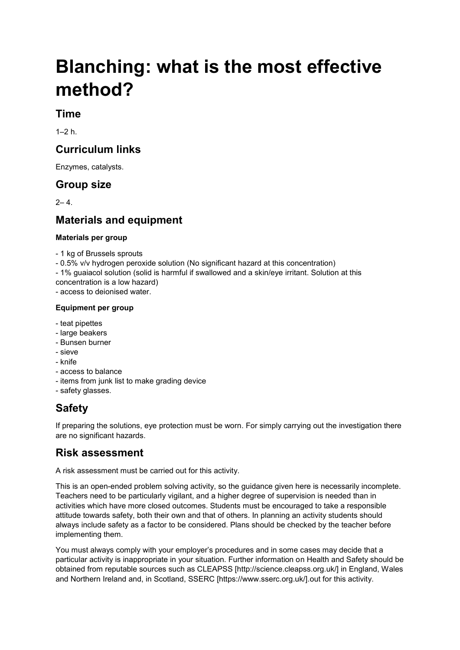# **Blanching: what is the most effective method?**

#### **Time**

 $1-2 h$ 

#### **Curriculum links**

Enzymes, catalysts.

#### **Group size**

 $2 - 4$ .

### **Materials and equipment**

#### **Materials per group**

- 1 kg of Brussels sprouts

- 0.5% v/v hydrogen peroxide solution (No significant hazard at this concentration)
- 1% guaiacol solution (solid is harmful if swallowed and a skin/eye irritant. Solution at this
- concentration is a low hazard) - access to deionised water.

## **Equipment per group**

- teat pipettes
- large beakers
- Bunsen burner
- sieve
- knife
- access to balance
- items from junk list to make grading device
- safety glasses.

### **Safety**

If preparing the solutions, eye protection must be worn. For simply carrying out the investigation there are no significant hazards.

#### **Risk assessment**

A risk assessment must be carried out for this activity.

This is an open-ended problem solving activity, so the guidance given here is necessarily incomplete. Teachers need to be particularly vigilant, and a higher degree of supervision is needed than in activities which have more closed outcomes. Students must be encouraged to take a responsible attitude towards safety, both their own and that of others. In planning an activity students should always include safety as a factor to be considered. Plans should be checked by the teacher before implementing them.

You must always comply with your employer's procedures and in some cases may decide that a particular activity is inappropriate in your situation. Further information on Health and Safety should be obtained from reputable sources such as CLEAPSS [http://science.cleapss.org.uk/] in England, Wales and Northern Ireland and, in Scotland, SSERC [https://www.sserc.org.uk/].out for this activity.